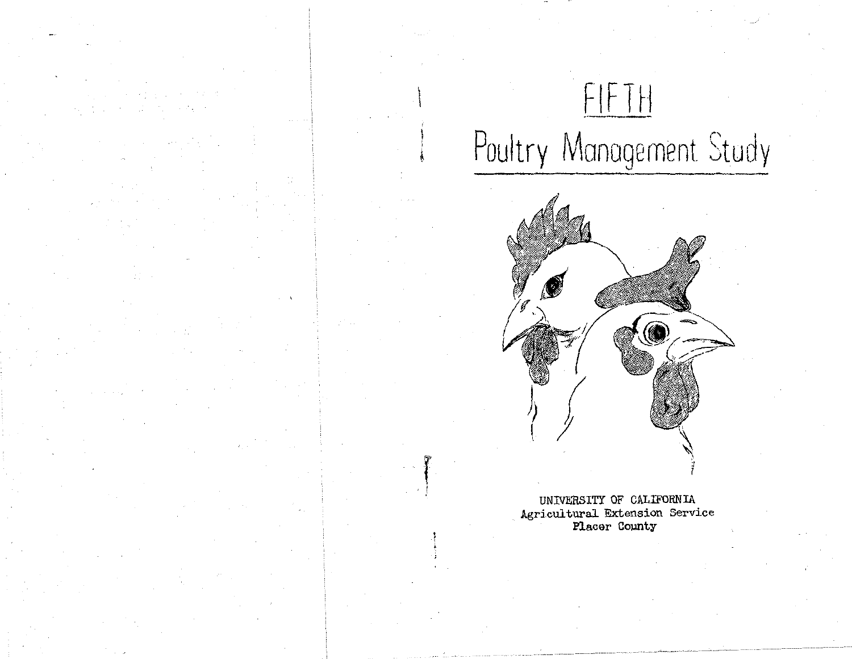# FIFTH Poultry Management Study

 $\mathcal{L}$ 

f '



UNIVERSITY OF CALIFORNIA Agricultural. Extension Service Placer County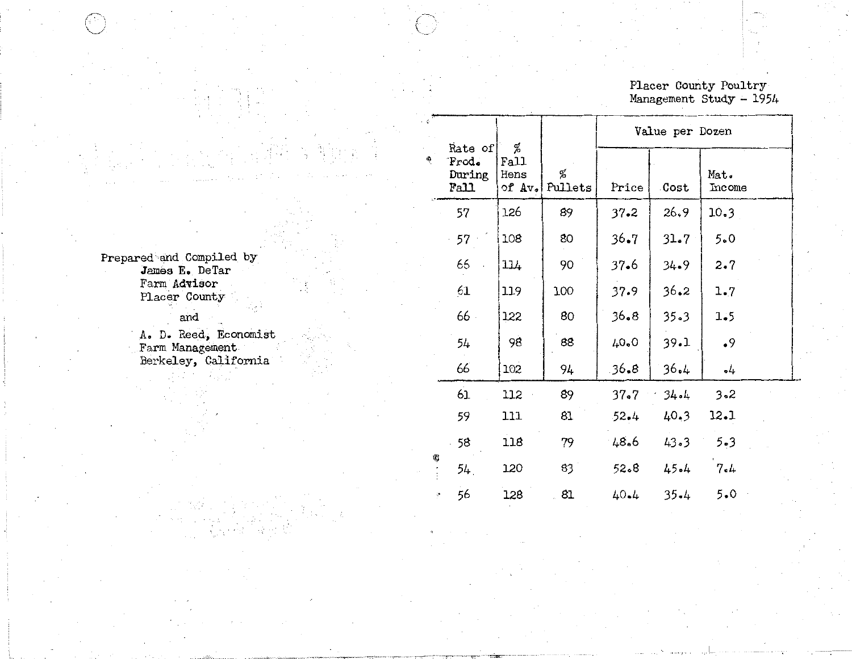# Placer County Poultry<br>Management Study - 1954

|                                            | $\cdot$ $\circ$ |                                    |                                         |              |          | Value per Dozen |                |
|--------------------------------------------|-----------------|------------------------------------|-----------------------------------------|--------------|----------|-----------------|----------------|
|                                            |                 | Rate of<br>Frod.<br>During<br>Fall | %<br>Fall<br>Hens<br>of $Av_{\bullet} $ | %<br>Pullets | Price    | Cost            | Mat.<br>Income |
|                                            |                 | 57                                 | 126                                     | 89           | $37 - 2$ | 26.9            | 10.3           |
|                                            |                 | 57                                 | 108                                     | 80           | $36 - 7$ | 31.7            | 5.0            |
| Prepared and Compiled by<br>James E. DeTar |                 | 66                                 | 114                                     | 90           | $37 - 6$ | $34 - 9$        | 2.7            |
| Farm Advisor<br>Placer County              |                 | 61                                 | 119                                     | 100          | 37.9     | 36.2            | 1.7            |
| and                                        |                 | 66.                                | 122                                     | 80           | 36.8     | $35 - 3$        | 1.5            |
| A. D. Reed, Economist<br>Farm Management   |                 | 54                                 | 98                                      | 88           | 40.0     | 39.1            | .9             |
| Berkeley, California                       |                 | 66                                 | 102                                     | 94           | 36.8     | 36.4            | $\cdot$ 4      |
|                                            |                 | 61                                 | 112                                     | 89           | $37 - 7$ | $34 - 4$        | $3 - 2$        |
|                                            |                 | 59                                 | 111                                     | 81           | $52 - 4$ | 40.3            | 12.1           |
|                                            |                 | 58                                 | 118                                     | 79           | 48.6     | 43.3            | $5 - 3$        |
|                                            | 嘢               | 54.                                | 120                                     | 83           | 52.8     | 45.4            | 7.4            |
|                                            |                 | 56                                 | 128                                     | 81           | 40.4     | $35 - 4$        | 5.0            |

is .

2. 눈 보호

 $\sim 10^{11}$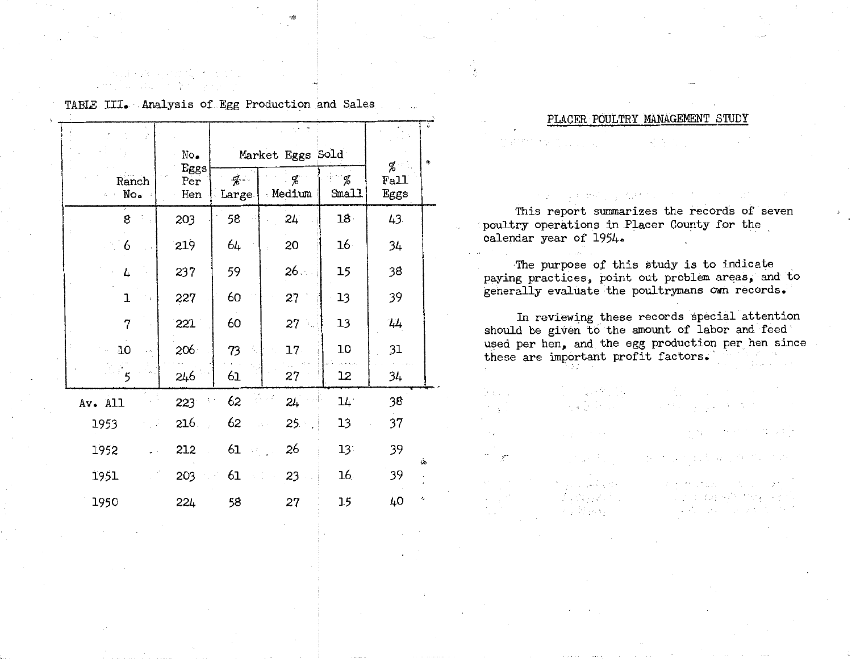|                           | No.                |                          | Market Eggs Sold | g∕.             | 傷            |     |
|---------------------------|--------------------|--------------------------|------------------|-----------------|--------------|-----|
| Ranch<br>No.<br>$\zeta=1$ | Eggs<br>Per<br>Hen | $\frac{d}{b}$ .<br>Large | Ф,<br>Medium     | %<br>Small      | Fall<br>Eggs |     |
| 8                         | 203                | 58                       | $24^{\circ}$     | 18 <sup>1</sup> | 43           |     |
| 6                         | 219                | 64                       | 20               | 16 <sup>1</sup> | 34           |     |
| 4                         | 237                | 59                       | 26.              | 15              | 38           |     |
| ı                         | 227                | 60                       | 27               | 13              | 39           |     |
| $\overline{7}$            | 221                | 60                       | 27               | 13              | 44           |     |
| 10                        | 206                | 73                       | $17 -$           | 10              | 31           |     |
| ్ 5                       | 246                | 61                       | 27               | 12              | 34           |     |
| Av. All                   | 223                | 62<br>ţ,                 | रोप र मे<br>24   | $14^{\circ}$    | 38           |     |
| 1953                      | 216                | 62                       | $25 -$<br>giana. | 13              | 37           |     |
| 1952                      | 212                | 61<br>$\lesssim 2\%$     | 26               | $13^{\circ}$    | 39           | ijδ |
| 1951                      | 203                | 61                       | 23               | 16 <sub>1</sub> | 39           |     |
| 1950                      | 224                | 58                       | 27               | 15              | 40           | رم  |

TABLE III. · Analysis of Egg Production and Sales

all selves and the

.,,

### PLACER POULTRY MAMAGEMENT STUDY

in Si

in L

 $\mathcal{T}$ 

**表示文件** 

This report summarizes the records of seven poultry operations in Placer County for the calendar year of 1954·

The purpose of this study is to indicate paying practices, point out problem areas, and to generally evaluate·the poultrymans cwn records.

In reviewing these records special attention should be given to the amount of labor and feed used per hen, and the egg production per hen since these are important profit factors.

 $\begin{split} \mathbb{E} \left[ \mathbb{E}_{\mathbf{x}} \left[ \mathbf{x} \right] \mathbf{y} \right] & \mathbb{E}_{\mathbf{x}} \left[ \mathbb{E}_{\mathbf{x}} \left[ \mathbf{x} \right] \right] & \mathbb{E}_{\mathbf{x}} \left[ \mathbb{E}_{\mathbf{x}} \left[ \mathbf{x} \right] \right] & \mathbb{E}_{\mathbf{x}} \left[ \mathbb{E}_{\mathbf{x}} \left[ \mathbf{x} \right] \right] & \mathbb{E}_{\mathbf{x}} \left[ \mathbb{E}_{\mathbf{x}} \left[ \mathbf{x} \right] \right] & \mathbb{E}_{\mathbf{x}} \left[$ 

prints and the main reference of the

 $\Delta \phi_{\rm{B}}$  and the second contract of the  $\phi$ 

 $\label{eq:3.1} \left\{ \left\langle \psi_{1} \psi_{1} \right\rangle \right\} = \left\{ \left\langle \psi_{1} \psi_{1} \right\rangle \right\} = \left\{ \left\langle \psi_{1} \psi_{1} \right\rangle \right\}$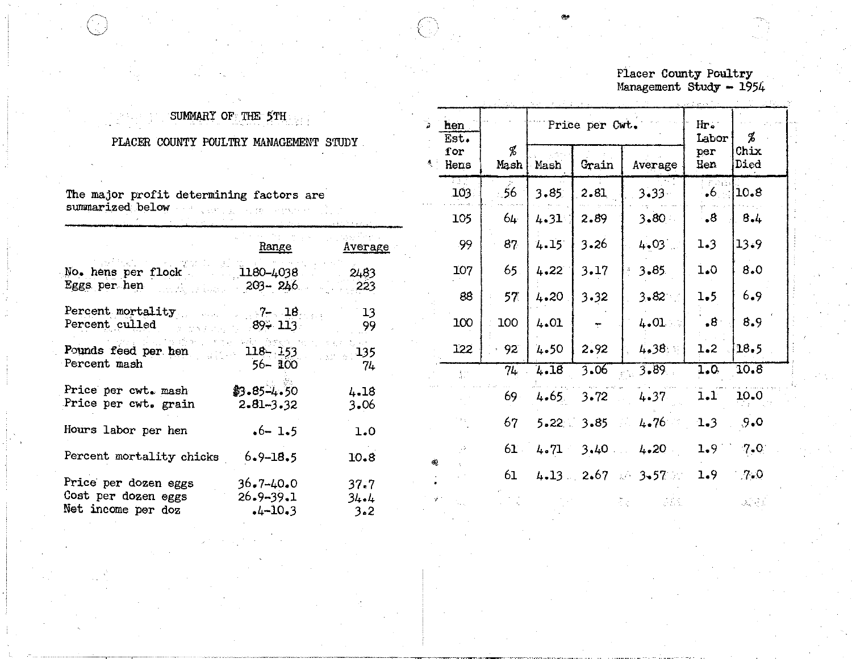## Placer County Poultry<br>Management Study - 1954

### SUMMARY OF THE 5TH

### PLACER COUNTY POULTRY MANAGEMENT STUDY

| The major profit determining factors are<br>summarized below      | CONTRACTOR MAY PROVIDE<br>in the state of the state of the state of the state of the state of the state of the state of the state of the<br>The state of the state of the state of the state of the state of the state of the state of the state of the st |                            |
|-------------------------------------------------------------------|------------------------------------------------------------------------------------------------------------------------------------------------------------------------------------------------------------------------------------------------------------|----------------------------|
|                                                                   | <u>Range</u>                                                                                                                                                                                                                                               | <u>Average</u>             |
| No. hens per flock 1180-4038 2483<br>Eggs per hen 203-246 223     |                                                                                                                                                                                                                                                            |                            |
| Percent mortality 7- 18<br>Percent culled                         | <b>894 113</b>                                                                                                                                                                                                                                             | $-13$<br>99                |
| Pounds feed per hen 118-153<br>Percent mash                       | 1. 接受的 网络酸氢酶 化十<br>56- 100                                                                                                                                                                                                                                 | žio vije s<br>. 135<br>-74 |
| Price per cwt. mash<br>Price per cwt. grain                       | $$3.85 - 4.50$<br>$2.81 - 3.32$                                                                                                                                                                                                                            | 4.18<br>3.06               |
| Hours labor per hen                                               | $-6 - 1 - 5$                                                                                                                                                                                                                                               | 1.0                        |
| Percent mortality chicks 6.9-18.5                                 |                                                                                                                                                                                                                                                            | 10.8                       |
| Price per dozen eggs<br>Cost per dozen eggs<br>Net income per doz | $36.7 - 40.0$<br>$26.9 - 39.1$<br>$-4 - 10 - 3$                                                                                                                                                                                                            | 37.7<br>34.4<br>$3 - 2$    |

| hen<br>Est.                |                            |                | Price per Cwt. |                              | $H\mathbf{r}$ .<br>Labor | Ъ           |
|----------------------------|----------------------------|----------------|----------------|------------------------------|--------------------------|-------------|
| i or<br>Hens               | Ъ<br>Grain<br>Mash<br>Mash |                | Average        | per<br>Hen                   | Chix<br>Died             |             |
| Fā J<br>103.               | $-56$                      | 3.85           | 2.81           | $3.33 -$                     | $\bullet$ 6 $\cdot$ :    | 10.8        |
| 105                        | $64 -$                     | 4.31           | 2.89           | $3.80 -$                     | $\cdot$ 8                | 8.4         |
| .99                        | 87                         | $4.15^{\circ}$ | $3 - 26$       | 4.03                         | 1.3                      | 13.9        |
| 107                        | 65.                        | 4.22           | 3.17           | 3.85                         | 1.0                      | 8.0         |
| 88                         | 57 <sub>1</sub>            | 4.20           | $3 - 32$       | $3 - 82$                     | 1.5                      | 6.9         |
| 100                        | 100                        | 4.01           | ÷              | 4.01                         | $\cdot$ <sup>8</sup>     | 8.9         |
| 122                        | 92                         | 4.50           | 2.92           | $4.38 -$                     | 1.2                      | 18.5        |
| $\sum_{i=1}^n \frac{1}{i}$ | 74                         | 4.18           | 3.06           | 3.89                         | 1.0                      | 10.8        |
|                            | 69.                        | 4.65.          | 3.72           | 4.37                         | 1.1                      | 10.0        |
|                            | 67                         | $5.22 -$       | $3 - 85$       | 4.76<br>SS 1                 | 1.3                      | 9.0         |
|                            | 61                         | 4.71           | 3.40           | 4.20                         | 1.9                      | $7.0^\circ$ |
|                            | 61                         |                |                | $4.13 = 2.67$ and $3.57$ and | 1.9                      | .7.0        |
|                            |                            |                |                |                              |                          |             |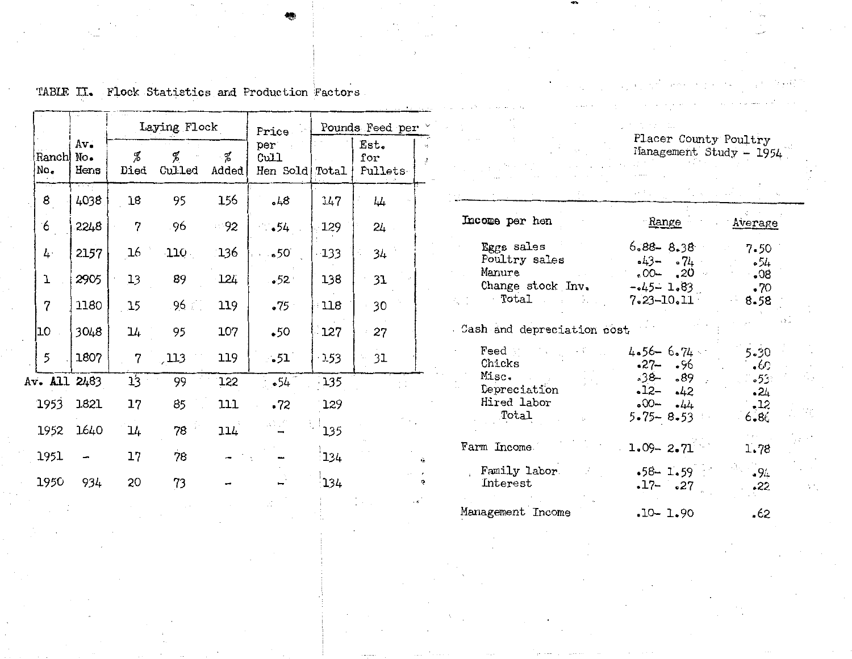|               |                    |           | Laying Flock |              | Price                    | Pounds Feed per |                        |  |  |
|---------------|--------------------|-----------|--------------|--------------|--------------------------|-----------------|------------------------|--|--|
| Ranchl<br>No. | Av.<br>No.<br>Hens | Ž<br>Died | q<br>Culled  | ୍ନୁ<br>Added | per.<br>Cull<br>Hen Sold | Total           | Est.<br>for<br>Pullets |  |  |
| 8             | 4038               | 18        | 95           | 156          | 648                      | 147             | 44                     |  |  |
| 6             | 2248               | 7         | 96           | $-92$        | •54                      | 129             | 24                     |  |  |
| 4.            | 2157               | 16        | 110          | 136          | .50                      | $-133$          | 34                     |  |  |
| T             | 2905               | 13        | 89           | 124          | $-52$                    | 138             | 31                     |  |  |
| 7             | 1180               | 15        | $96 -$       | 119          | •75                      | 118             | 30                     |  |  |
| 10            | 3048               | 14        | 95           | 107          | •50                      | 127             | 27                     |  |  |
| 5             | 1807               | 7         | , 113        | 119          | $\sim$ 51 $^{\circ}$     | 153             | 31                     |  |  |
| Av. All 2483  |                    | 13        | 99           | 122          | .54                      | 135             |                        |  |  |
| 1953          | 1821               | 17        | 85           | 111          | .72                      | 129             |                        |  |  |
| 1952          | 1640               | 14        | 78           | 114          | ali sili                 | 135             |                        |  |  |
| 1951          |                    | 17        | 78           |              |                          | 134             |                        |  |  |
| 1950          | 934                | 20        | 73           |              |                          | 134             |                        |  |  |
|               |                    |           |              |              |                          |                 |                        |  |  |

TABLE II. Flock Statistics and Production Factors.

 $\mathbf{v}_\mathrm{f}$  .  $\ddot{z}$ 

Placer County Poultry<br>Management Study - 1954

νŀ.

| Income per hen                                                                                   | <u>Range</u>                                                                         | Average                                                               |
|--------------------------------------------------------------------------------------------------|--------------------------------------------------------------------------------------|-----------------------------------------------------------------------|
| Eggs sales<br>Poultry sales<br>Manure<br>Change stock Inv.<br>Total                              | $6.88 - 8.38$<br>$-43 - 0.74$<br>$-00$ $-00$ $-$<br>$-45 - 1.83$<br>7.23–10.11       | 7.50<br>- 54<br>80 <sub>•</sub><br>$\cdot 70$<br>8.58                 |
| Cash and depreciation cost                                                                       |                                                                                      |                                                                       |
| $\mathop{\mathrm{feed}}$<br>Chicks<br>Misc.<br>Depreciation<br>Hired labor<br>Total<br>to a con- | $4.56 - 6.74$<br>-27- -96<br>$38 - 0.89$<br>$-12 - 42$<br>$-00-144$<br>$5.75 - 8.53$ | 5.30<br>0.6<br>∘35 <b>ء</b> —<br>$\ddotsc 24$<br>$\cdot$ 12<br>- 6.86 |
| Farm Income                                                                                      | $1.09 - 2.71$                                                                        | 1.78                                                                  |
| Family labor<br>Interest                                                                         | $-58 - 1.59$<br>$-17 - 27$                                                           | $-94$<br>•22                                                          |
| Management Income                                                                                | $-10 - 1.90$                                                                         | .62                                                                   |